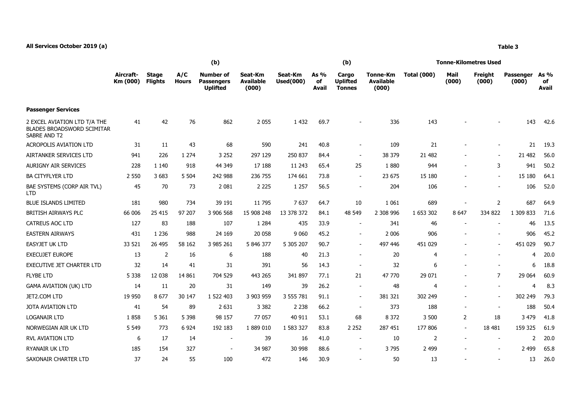|                                                                                   | (b)                   |                                |                     |                                                          |                                      |                             |                     | (b)                                       |                                              | Tonne-Kilometres Used |                          |                  |                           |                     |  |
|-----------------------------------------------------------------------------------|-----------------------|--------------------------------|---------------------|----------------------------------------------------------|--------------------------------------|-----------------------------|---------------------|-------------------------------------------|----------------------------------------------|-----------------------|--------------------------|------------------|---------------------------|---------------------|--|
|                                                                                   | Aircraft-<br>Km (000) | <b>Stage</b><br><b>Flights</b> | A/C<br><b>Hours</b> | <b>Number of</b><br><b>Passengers</b><br><b>Uplifted</b> | Seat-Km<br><b>Available</b><br>(000) | Seat-Km<br><b>Used(000)</b> | As %<br>of<br>Avail | Cargo<br><b>Uplifted</b><br><b>Tonnes</b> | <b>Tonne-Km</b><br><b>Available</b><br>(000) | <b>Total (000)</b>    | Mail<br>(000)            | Freight<br>(000) | <b>Passenger</b><br>(000) | As %<br>of<br>Avail |  |
| <b>Passenger Services</b>                                                         |                       |                                |                     |                                                          |                                      |                             |                     |                                           |                                              |                       |                          |                  |                           |                     |  |
| 2 EXCEL AVIATION LTD T/A THE<br><b>BLADES BROADSWORD SCIMITAR</b><br>SABRE AND T2 | 41                    | 42                             | 76                  | 862                                                      | 2 0 5 5                              | 1 4 3 2                     | 69.7                |                                           | 336                                          | 143                   |                          |                  | 143                       | 42.6                |  |
| <b>ACROPOLIS AVIATION LTD</b>                                                     | 31                    | 11                             | 43                  | 68                                                       | 590                                  | 241                         | 40.8                | $\overline{\phantom{a}}$                  | 109                                          | 21                    |                          | $\blacksquare$   | 21                        | 19.3                |  |
| AIRTANKER SERVICES LTD                                                            | 941                   | 226                            | 1 2 7 4             | 3 2 5 2                                                  | 297 129                              | 250 837                     | 84.4                | $\overline{\phantom{a}}$                  | 38 379                                       | 21 482                |                          | $\blacksquare$   | 21 4 82                   | 56.0                |  |
| <b>AURIGNY AIR SERVICES</b>                                                       | 228                   | 1 1 4 0                        | 918                 | 44 349                                                   | 17 188                               | 11 243                      | 65.4                | 25                                        | 1880                                         | 944                   | $\overline{\phantom{a}}$ | 3                | 941                       | 50.2                |  |
| <b>BA CITYFLYER LTD</b>                                                           | 2 5 5 0               | 3683                           | 5 5 0 4             | 242 988                                                  | 236 755                              | 174 661                     | 73.8                | $\blacksquare$                            | 23 675                                       | 15 180                | $\overline{\phantom{a}}$ | $\blacksquare$   | 15 180                    | 64.1                |  |
| BAE SYSTEMS (CORP AIR TVL)<br><b>LTD</b>                                          | 45                    | 70                             | 73                  | 2 0 8 1                                                  | 2 2 2 5                              | 1 2 5 7                     | 56.5                | $\blacksquare$                            | 204                                          | 106                   |                          |                  | 106                       | 52.0                |  |
| <b>BLUE ISLANDS LIMITED</b>                                                       | 181                   | 980                            | 734                 | 39 191                                                   | 11 795                               | 7637                        | 64.7                | 10                                        | 1 0 6 1                                      | 689                   |                          | $\overline{2}$   | 687                       | 64.9                |  |
| <b>BRITISH AIRWAYS PLC</b>                                                        | 66 006                | 25 415                         | 97 207              | 3 906 568                                                | 15 908 248                           | 13 378 372                  | 84.1                | 48 549                                    | 2 308 996                                    | 1 653 302             | 8 6 4 7                  | 334 822          | 1 309 833                 | 71.6                |  |
| <b>CATREUS AOC LTD</b>                                                            | 127                   | 83                             | 188                 | 107                                                      | 1 2 8 4                              | 435                         | 33.9                | $\blacksquare$                            | 341                                          | 46                    |                          |                  | 46                        | 13.5                |  |
| <b>EASTERN AIRWAYS</b>                                                            | 431                   | 1 2 3 6                        | 988                 | 24 169                                                   | 20 058                               | 9 0 6 0                     | 45.2                | $\overline{\phantom{a}}$                  | 2 0 0 6                                      | 906                   |                          |                  | 906                       | 45.2                |  |
| <b>EASYJET UK LTD</b>                                                             | 33 5 21               | 26 495                         | 58 162              | 3 985 261                                                | 5 846 377                            | 5 305 207                   | 90.7                | $\sim$                                    | 497 446                                      | 451 029               |                          |                  | 451 029                   | 90.7                |  |
| <b>EXECUJET EUROPE</b>                                                            | 13                    | $\overline{2}$                 | 16                  | 6                                                        | 188                                  | 40                          | 21.3                | $\sim$                                    | 20                                           | 4                     |                          |                  |                           | 20.0                |  |
| <b>EXECUTIVE JET CHARTER LTD</b>                                                  | 32                    | 14                             | 41                  | 31                                                       | 391                                  | 56                          | 14.3                | $\overline{\phantom{a}}$                  | 32                                           | 6                     |                          |                  | 6                         | 18.8                |  |
| <b>FLYBE LTD</b>                                                                  | 5 3 3 8               | 12 038                         | 14 8 61             | 704 529                                                  | 443 265                              | 341 897                     | 77.1                | 21                                        | 47 770                                       | 29 0 71               |                          | $\overline{7}$   | 29 0 64                   | 60.9                |  |
| <b>GAMA AVIATION (UK) LTD</b>                                                     | 14                    | 11                             | 20                  | 31                                                       | 149                                  | 39                          | 26.2                | $\sim$                                    | 48                                           | 4                     | $\overline{\phantom{a}}$ | $\blacksquare$   | 4                         | 8.3                 |  |
| JET2.COM LTD                                                                      | 19 9 50               | 8677                           | 30 147              | 1 522 403                                                | 3 903 959                            | 3 555 781                   | 91.1                | $\blacksquare$                            | 381 321                                      | 302 249               |                          | $\blacksquare$   | 302 249                   | 79.3                |  |
| <b>JOTA AVIATION LTD</b>                                                          | 41                    | 54                             | 89                  | 2 6 3 1                                                  | 3 3 8 2                              | 2 2 3 8                     | 66.2                | $\overline{\phantom{a}}$                  | 373                                          | 188                   | $\overline{\phantom{a}}$ | $\blacksquare$   | 188                       | 50.4                |  |
| <b>LOGANAIR LTD</b>                                                               | 1858                  | 5 3 6 1                        | 5 3 9 8             | 98 157                                                   | 77 057                               | 40 911                      | 53.1                | 68                                        | 8 3 7 2                                      | 3 500                 | $\overline{2}$           | 18               | 3 4 7 9                   | 41.8                |  |
| NORWEGIAN AIR UK LTD                                                              | 5 5 4 9               | 773                            | 6 9 24              | 192 183                                                  | 1 889 010                            | 1 583 327                   | 83.8                | 2 2 5 2                                   | 287 451                                      | 177 806               | $\blacksquare$           | 18 481           | 159 325                   | 61.9                |  |
| <b>RVL AVIATION LTD</b>                                                           | 6                     | 17                             | 14                  | $\sim$                                                   | 39                                   | 16                          | 41.0                | $\sim$                                    | 10                                           | 2                     | $\blacksquare$           | $\blacksquare$   | 2                         | 20.0                |  |
| RYANAIR UK LTD                                                                    | 185                   | 154                            | 327                 |                                                          | 34 987                               | 30 998                      | 88.6                | $\overline{a}$                            | 3795                                         | 2 4 9 9               |                          |                  | 2 4 9 9                   | 65.8                |  |
| SAXONAIR CHARTER LTD                                                              | 37                    | 24                             | 55                  | 100                                                      | 472                                  | 146                         | 30.9                |                                           | 50                                           | 13                    |                          |                  | 13                        | 26.0                |  |